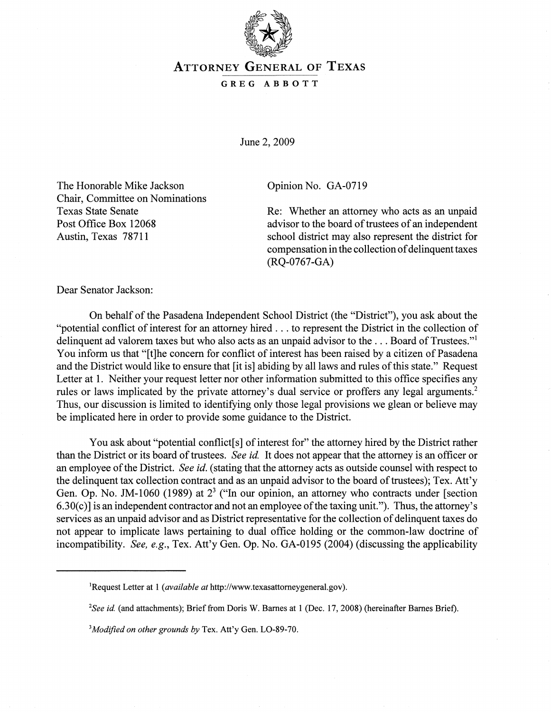

## ATTORNEY GENERAL OF TEXAS

GREG ABBOTT

June 2, 2009

The Honorable Mike Jackson Chair, Committee on Nominations Texas State Senate Post Office Box 12068 Austin, Texas 78711

Opinion No. GA-0719

Re: Whether an attorney who acts as an unpaid advisor to the board of trustees of an independent school district may also represent the district for compensation in the collection of delinquent taxes (RQ-0767-GA)

Dear Senator Jackson:

On behalf of the Pasadena Independent School District (the "District"), you ask about the "potential conflict of interest for an attorney hired ... to represent the District in the collection of delinquent ad valorem taxes but who also acts as an unpaid advisor to the ... Board of Trustees."<sup>1</sup> You inform us that "[t]he concern for conflict of interest has been raised by a citizen of Pasadena and the District would like to ensure that [it is] abiding by all laws and rules of this state." Request Letter at 1. Neither your request letter nor other information submitted to this office specifies any rules or laws implicated by the private attorney's dual service or proffers any legal arguments.<sup>2</sup> Thus, our discussion is limited to identifying only those legal provisions we glean or believe may be implicated here in order to provide some guidance to the District.

You ask about "potential conflict[s] of interest for" the attorney hired by the District rather than the District or its board of trustees. *See id*. It does not appear that the attorney is an officer or an employee of the District. *See id.* (stating that the attorney acts as outside counsel with respect to the delinquent tax collection contract and as an unpaid advisor to the board of trustees); Tex. Att'y Gen. Op. No. JM-1060 (1989) at  $2<sup>3</sup>$  ("In our opinion, an attorney who contracts under [section  $6.30(c)$ ] is an independent contractor and not an employee of the taxing unit."). Thus, the attorney's services as an unpaid advisor and as District representative for the collection of delinquent taxes do not appear to implicate laws pertaining to dual office holding or the common-law doctrine of incompatibility. *See, e.g.,* Tex. Att'y Gen. Op. No. GA-0195 (2004) (discussing the applicability

lRequest Letter at 1 *(available at* http://www.texasattomeygeneral.gov).

*<sup>2</sup>See id* (and attachments); Brief from Doris W. Barnes at 1 (Dec. 17,2008) (hereinafter Barnes Brief).

<sup>3</sup> *Modified on other grounds by* Tex. Att'y Gen. LO-89-70.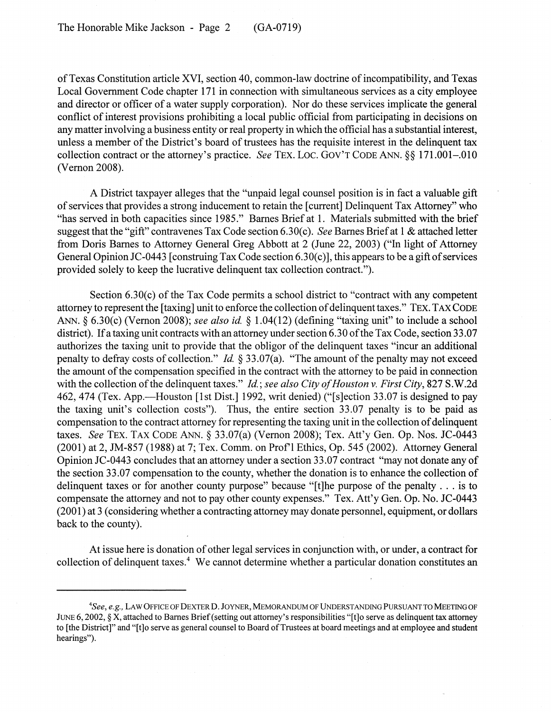of Texas Constitution article XVI, section 40, common-law doctrine of incompatibility, and Texas Local Government Code chapter 171 in connection with simultaneous services as a city employee and director or officer of a water supply corporation). Nor do these services implicate the general conflict of interest provisions prohibiting a local public official from participating in decisions on any matter involving a business entity or real property in which the official has a substantial interest, unless a member of the District's board of trustees has the requisite interest in the delinquent tax collection contract or the attorney's practice. *See* TEx. Loc. GOV'T CODE ANN. §§ 171.001-.010 (Vernon 2008).

A District taxpayer alleges that the "unpaid legal counsel position is in fact a valuable gift of services that provides a strong inducement to retain the [current] Delinquent Tax Attorney" who "has served in both capacities since 1985." Barnes Brief at 1. Materials submitted with the brief suggest that the "gift" contravenes Tax Code section 6.30( c). *See* Barnes Brief at 1 & attached letter from Doris Barnes to Attorney General Greg Abbott at 2 (June 22, 2003) ("In light of Attorney General Opinion JC-0443 [construing Tax Code section  $6.30(c)$ ], this appears to be a gift of services provided solely to keep the lucrative delinquent tax collection contract. ").

Section  $6.30(c)$  of the Tax Code permits a school district to "contract with any competent attorney to represent the [taxing] unit to enforce the collection of delinquent taxes." TEx. TAX CODE ANN. § 6.30(c) (Vernon 2008); *see also id.* § 1.04(12) (defining "taxing unit" to include a school district). If a taxing unit contracts with an attorney under section 6.30 of the Tax Code, section 33.07 authorizes the taxing unit to provide that the obligor of the delinquent taxes "incur an additional penalty to defray costs of collection." *Id.* § 33.07(a). "The amount of the penalty may not exceed the amount of the compensation specified in the contract with the attorney to be paid in connection with the collection of the delinquent taxes." *Id.; see also City of Houston v. First City*, 827 S.W.2d 462, 474 (Tex. App.—Houston [1st Dist.] 1992, writ denied) ("[s]ection 33.07 is designed to pay the taxing unit's collection costs"). Thus, the entire section 33.07 penalty is to be paid as compensation to the contract attorney for representing the taxing unit in the collection of delinquent taxes. *See TEX. TAX CODE ANN.* § 33.07(a) (Vernon 2008); Tex. Att'y Gen. Op. Nos. JC-0443 (2001) at 2, JM-857 (1988) at 7; Tex. Comm. on Prof'l Ethics, Op. 545 (2002). Attorney General Opinion JC-0443 concludes that an attorney under a section 33.07 contract "may not donate any of the section 33.07 compensation to the county, whether the donation is to enhance the collection of delinquent taxes or for another county purpose" because "[t]he purpose of the penalty ... is to compensate the attorney and not to pay other county expenses." Tex. Att'y Gen. Op. No. JC-0443 (2001) at 3 (considering whether a contracting attorney may donate personnel, equipment, or dollars back to the county).

At issue here is donation of other legal services in conjunction with, or under, a contract for collection of delinquent taxes.<sup>4</sup> We cannot determine whether a particular donation constitutes an

*<sup>4</sup>See, e.g.,* LAW OFFICE OF DEXTER D. JOYNER, MEMORANDUM OF UNDERSTANDING PURSUANT TO MEETING OF JUNE 6, 2002, § X, attached to Barnes Brief (setting out attorney's responsibilities "[t]o serve as delinquent tax attorney to [the District]" and "[t]o serve as general counsel to Board of Trustees at board meetings and at employee and student hearings").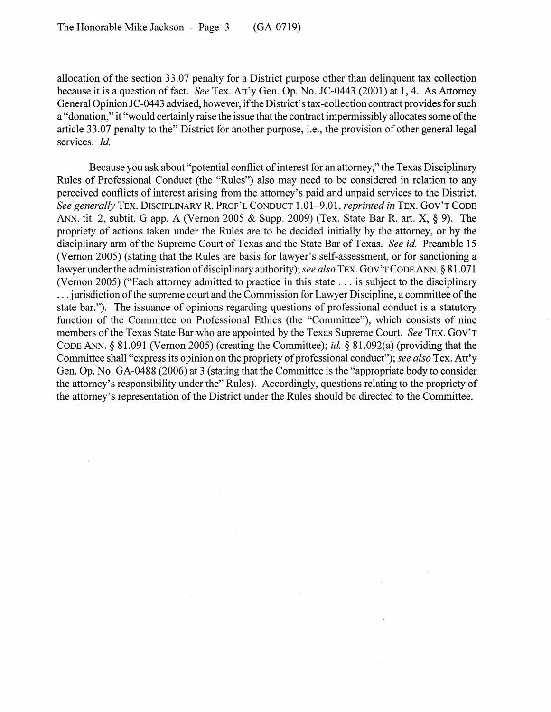allocation of the section 33.07 penalty for a District purpose other than delinquent tax collection because it is a question of fact. *See* Tex. Att'y Gen. Op. No. JC-0443 (2001) at 1, 4. As Attorney General Opinion JC-0443 advised, however, if the District's tax -collection contract provides for such a "donation," it "would certainly raise the issue that the contract impermissibly allocates some of the article 33.07 penalty to the" District for another purpose, i.e., the provision of other general legal services. *Id.* 

Because you ask about "potential conflict of interest for an attorney," the Texas Disciplinary Rules of Professional Conduct (the "Rules") also may need to be considered in relation to any perceived conflicts of interest arising from the attorney's paid and unpaid services to the District. *See generally* TEx. DISCIPLINARY R. PROF'L CONDUCT 1.01-9.01, *reprinted in* TEx. GOV'T CODE ANN. tit. 2, subtit. G app. A (Vernon 2005 & Supp. 2009) (Tex. State Bar R. art. X, § 9). The propriety of actions taken under the Rules are to be decided initially by the attorney, or by the disciplinary arm of the Supreme Court of Texas and the State Bar of Texas. *See id.* Preamble 15 (Vernon 2005) (stating that the Rules are basis for lawyer's self-assessment, or for sanctioning a lawyer under the administration of disciplinary authority); *see also* TEx. GOV'T CODE ANN. § 81.071 (Vernon 2005) ("Each attorney admitted to practice in this state ... is subject to the disciplinary ... jurisdiction of the supreme court and the Commission for Lawyer Discipline, a committee of the state bar."). The issuance of opinions regarding questions of professional conduct is a statutory function of the Committee on Professional Ethics (the "Committee"), which consists of nine members of the Texas State Bar who are appointed by the Texas Supreme Court. *See* TEx. GOV'T CODE ANN. § 81.091 (Vernon 2005) (creating the Committee); *id* § 81.092(a) (providing that the Committee shall "express its opinion on the propriety of professional conduct"); *see also* Tex. Att'y Gen. Op. No. GA-0488 (2006) at 3 (stating that the Committee is the "appropriate body to consider the attorney's responsibility under the" Rules). Accordingly, questions relating to the propriety of the attorney's representation of the District under the Rules should be directed to the Committee.